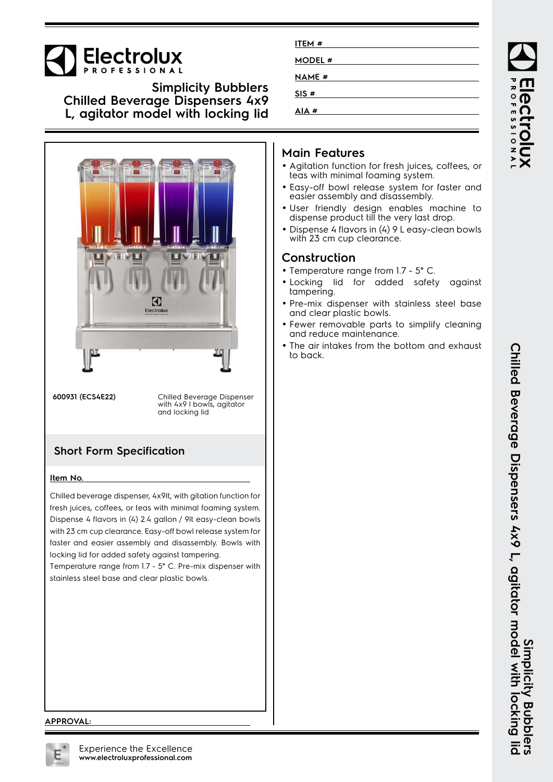# Electrolux

**Simplicity Bubblers Chilled Beverage Dispensers 4x9 L, agitator model with locking lid**



**600931 (ECS4E22)** Chilled Beverage Dispenser with 4x9 l bowls, agitator and locking lid

### **Short Form Specification**

#### **Item No.**

Chilled beverage dispenser, 4x9lt, with gitation function for fresh juices, coffees, or teas with minimal foaming system. Dispense 4 flavors in (4) 2.4 gallon / 9lt easy-clean bowls with 23 cm cup clearance. Easy-off bowl release system for faster and easier assembly and disassembly. Bowls with locking lid for added safety against tampering.

Temperature range from 1.7 - 5° C. Pre-mix dispenser with stainless steel base and clear plastic bowls.

| ITEM #        |  |
|---------------|--|
| MODEL #       |  |
| <b>NAME</b> # |  |
| SIS#          |  |
|               |  |
| AIA#          |  |

#### **Main Features**

- Agitation function for fresh juices, coffees, or teas with minimal foaming system.
- Easy-off bowl release system for faster and easier assembly and disassembly.
- User friendly design enables machine to dispense product till the very last drop.
- Dispense 4 flavors in (4) 9 L easy-clean bowls with 23 cm cup clearance.

#### **Construction**

- Temperature range from 1.7 5° C.
- Locking lid for added safety against tampering.
- Pre-mix dispenser with stainless steel base and clear plastic bowls.
- Fewer removable parts to simplify cleaning and reduce maintenance.
- The air intakes from the bottom and exhaust to back.

#### **APPROVAL:**